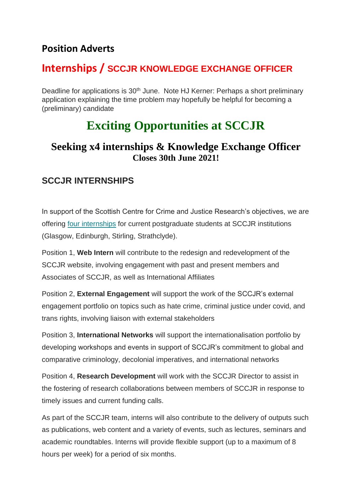## **Position Adverts**

## **Internships / SCCJR KNOWLEDGE EXCHANGE OFFICER**

Deadline for applications is 30<sup>th</sup> June. Note HJ Kerner: Perhaps a short preliminary application explaining the time problem may hopefully be helpful for becoming a (preliminary) candidate

## **Exciting Opportunities at SCCJR**

## **Seeking x4 internships & Knowledge Exchange Officer Closes 30th June 2021!**

### **SCCJR INTERNSHIPS**

In support of the Scottish Centre for Crime and Justice Research's objectives, we are offering [four internships](https://sipr.us4.list-manage.com/track/click?u=4b4960bc66cb5af84fb443141&id=b9efc4b583&e=386ab1744d) for current postgraduate students at SCCJR institutions (Glasgow, Edinburgh, Stirling, Strathclyde).

Position 1, **Web Intern** will contribute to the redesign and redevelopment of the SCCJR website, involving engagement with past and present members and Associates of SCCJR, as well as International Affiliates

Position 2, **External Engagement** will support the work of the SCCJR's external engagement portfolio on topics such as hate crime, criminal justice under covid, and trans rights, involving liaison with external stakeholders

Position 3, **International Networks** will support the internationalisation portfolio by developing workshops and events in support of SCCJR's commitment to global and comparative criminology, decolonial imperatives, and international networks

Position 4, **Research Development** will work with the SCCJR Director to assist in the fostering of research collaborations between members of SCCJR in response to timely issues and current funding calls.

As part of the SCCJR team, interns will also contribute to the delivery of outputs such as publications, web content and a variety of events, such as lectures, seminars and academic roundtables. Interns will provide flexible support (up to a maximum of 8 hours per week) for a period of six months.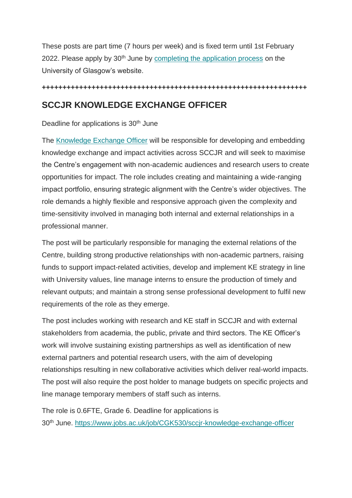These posts are part time (7 hours per week) and is fixed term until 1st February 2022. Please apply by 30<sup>th</sup> June by [completing the application process](https://sipr.us4.list-manage.com/track/click?u=4b4960bc66cb5af84fb443141&id=3cae92a56c&e=386ab1744d) on the University of Glasgow's website.

#### **++++++++++++++++++++++++++++++++++++++++++++++++++++++++++++++++**

## **SCCJR KNOWLEDGE EXCHANGE OFFICER**

Deadline for applications is 30<sup>th</sup> June

The [Knowledge Exchange Officer](https://sipr.us4.list-manage.com/track/click?u=4b4960bc66cb5af84fb443141&id=364333b07f&e=386ab1744d) will be responsible for developing and embedding knowledge exchange and impact activities across SCCJR and will seek to maximise the Centre's engagement with non-academic audiences and research users to create opportunities for impact. The role includes creating and maintaining a wide-ranging impact portfolio, ensuring strategic alignment with the Centre's wider objectives. The role demands a highly flexible and responsive approach given the complexity and time-sensitivity involved in managing both internal and external relationships in a professional manner.

The post will be particularly responsible for managing the external relations of the Centre, building strong productive relationships with non-academic partners, raising funds to support impact-related activities, develop and implement KE strategy in line with University values, line manage interns to ensure the production of timely and relevant outputs; and maintain a strong sense professional development to fulfil new requirements of the role as they emerge.

The post includes working with research and KE staff in SCCJR and with external stakeholders from academia, the public, private and third sectors. The KE Officer's work will involve sustaining existing partnerships as well as identification of new external partners and potential research users, with the aim of developing relationships resulting in new collaborative activities which deliver real-world impacts. The post will also require the post holder to manage budgets on specific projects and line manage temporary members of staff such as interns.

The role is 0.6FTE, Grade 6. Deadline for applications is 30th June. [https://www.jobs.ac.uk/job/CGK530/sccjr-knowledge-exchange-officer](https://sipr.us4.list-manage.com/track/click?u=4b4960bc66cb5af84fb443141&id=f36c85c533&e=386ab1744d)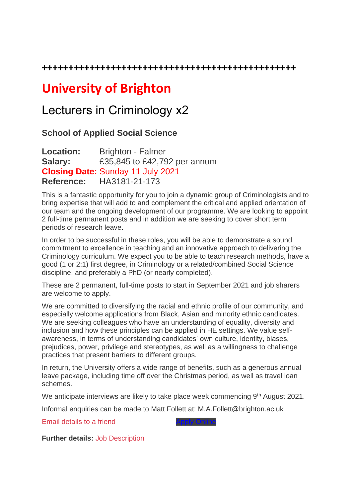**++++++++++++++++++++++++++++++++++++++++++++++++**

# **University of Brighton**

## Lecturers in Criminology x2

### **School of Applied Social Science**

**Location:** Brighton - Falmer **Salary:** £35,845 to £42,792 per annum **Closing Date:** Sunday 11 July 2021 **Reference:** HA3181-21-173

This is a fantastic opportunity for you to join a dynamic group of Criminologists and to bring expertise that will add to and complement the critical and applied orientation of our team and the ongoing development of our programme. We are looking to appoint 2 full-time permanent posts and in addition we are seeking to cover short term periods of research leave.

In order to be successful in these roles, you will be able to demonstrate a sound commitment to excellence in teaching and an innovative approach to delivering the Criminology curriculum. We expect you to be able to teach research methods, have a good (1 or 2:1) first degree, in Criminology or a related/combined Social Science discipline, and preferably a PhD (or nearly completed).

These are 2 permanent, full-time posts to start in September 2021 and job sharers are welcome to apply.

We are committed to diversifying the racial and ethnic profile of our community, and especially welcome applications from Black, Asian and minority ethnic candidates. We are seeking colleagues who have an understanding of equality, diversity and inclusion and how these principles can be applied in HE settings. We value selfawareness, in terms of understanding candidates' own culture, identity, biases, prejudices, power, privilege and stereotypes, as well as a willingness to challenge practices that present barriers to different groups.

In return, the University offers a wide range of benefits, such as a generous annual leave package, including time off over the Christmas period, as well as travel loan schemes.

We anticipate interviews are likely to take place week commencing 9<sup>th</sup> August 2021.

Informal enquiries can be made to Matt Follett at: M.A.Follett@brighton.ac.uk

[Email details to a friend](https://jobs.brighton.ac.uk/EmailFriend.aspx?ref=HA3181-21-173)

**Further details:** [Job Description](https://jobs.brighton.ac.uk/Upload/vacancies/files/7730/Lecturer%20in%20Criminology%20-%20June%2021%20(1).docx)